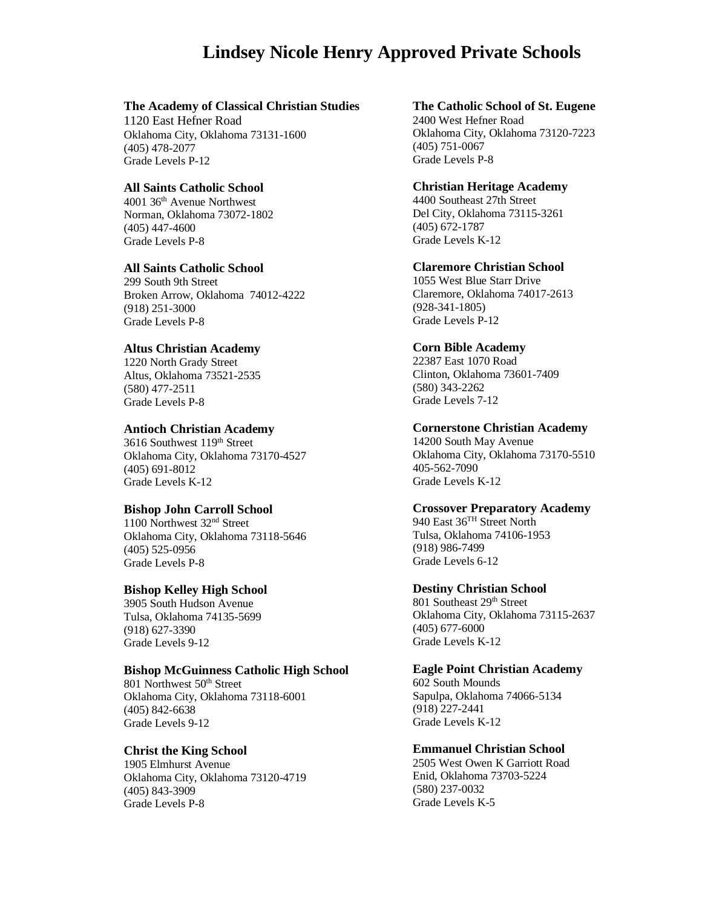# **Lindsey Nicole Henry Approved Private Schools**

# **The Academy of Classical Christian Studies**

1120 East Hefner Road Oklahoma City, Oklahoma 73131-1600 (405) 478-2077 Grade Levels P-12

# **All Saints Catholic School**

4001 36th Avenue Northwest Norman, Oklahoma 73072-1802 (405) 447-4600 Grade Levels P-8

# **All Saints Catholic School**

299 South 9th Street Broken Arrow, Oklahoma 74012-4222 (918) 251-3000 Grade Levels P-8

# **Altus Christian Academy**

1220 North Grady Street Altus, Oklahoma 73521-2535 (580) 477-2511 Grade Levels P-8

# **Antioch Christian Academy**

3616 Southwest 119th Street Oklahoma City, Oklahoma 73170-4527 (405) 691-8012 Grade Levels K-12

# **Bishop John Carroll School**

1100 Northwest 32nd Street Oklahoma City, Oklahoma 73118-5646 (405) 525-0956 Grade Levels P-8

# **Bishop Kelley High School**

3905 South Hudson Avenue Tulsa, Oklahoma 74135-5699 (918) 627-3390 Grade Levels 9-12

# **Bishop McGuinness Catholic High School**

801 Northwest 50<sup>th</sup> Street Oklahoma City, Oklahoma 73118-6001 (405) 842-6638 Grade Levels 9-12

# **Christ the King School**

1905 Elmhurst Avenue Oklahoma City, Oklahoma 73120-4719 (405) 843-3909 Grade Levels P-8

**The Catholic School of St. Eugene** 2400 West Hefner Road Oklahoma City, Oklahoma 73120-7223 (405) 751-0067 Grade Levels P-8

#### **Christian Heritage Academy**

4400 Southeast 27th Street Del City, Oklahoma 73115-3261 (405) 672-1787 Grade Levels K-12

# **Claremore Christian School**

1055 West Blue Starr Drive Claremore, Oklahoma 74017-2613 (928-341-1805) Grade Levels P-12

# **Corn Bible Academy**

22387 East 1070 Road Clinton, Oklahoma 73601-7409 (580) 343-2262 Grade Levels 7-12

# **Cornerstone Christian Academy**

14200 South May Avenue Oklahoma City, Oklahoma 73170-5510 405-562-7090 Grade Levels K-12

# **Crossover Preparatory Academy**

940 East 36TH Street North Tulsa, Oklahoma 74106-1953 (918) 986-7499 Grade Levels 6-12

# **Destiny Christian School**

801 Southeast 29<sup>th</sup> Street Oklahoma City, Oklahoma 73115-2637 (405) 677-6000 Grade Levels K-12

#### **Eagle Point Christian Academy**

602 South Mounds Sapulpa, Oklahoma 74066-5134 (918) 227-2441 Grade Levels K-12

# **Emmanuel Christian School**

2505 West Owen K Garriott Road Enid, Oklahoma 73703-5224 (580) 237-0032 Grade Levels K-5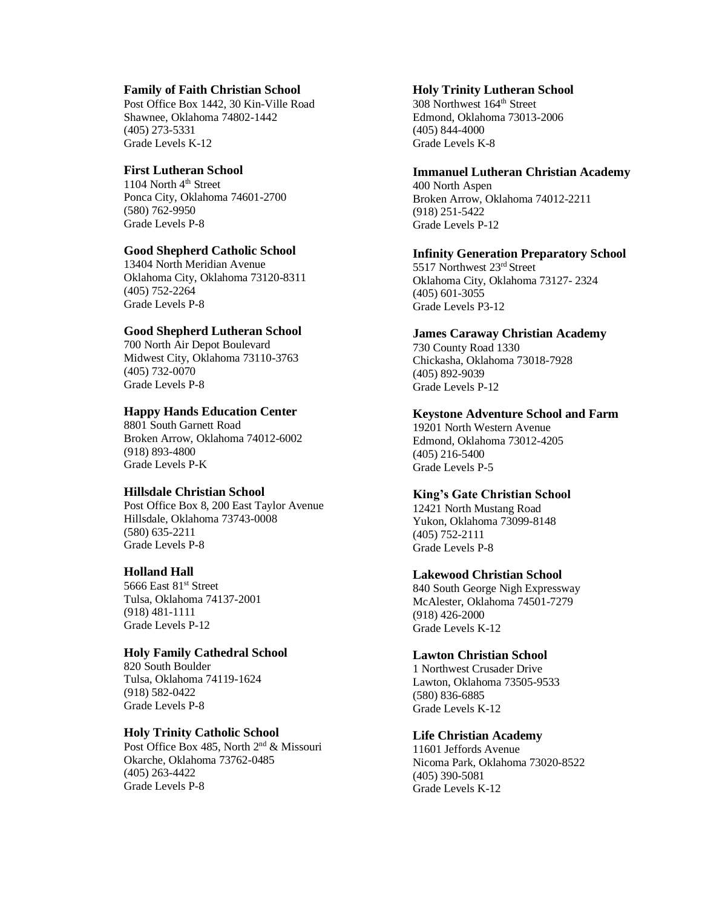# **Family of Faith Christian School**

Post Office Box 1442, 30 Kin-Ville Road Shawnee, Oklahoma 74802-1442 (405) 273-5331 Grade Levels K-12

# **First Lutheran School**

1104 North 4<sup>th</sup> Street Ponca City, Oklahoma 74601-2700 (580) 762-9950 Grade Levels P-8

# **Good Shepherd Catholic School**

13404 North Meridian Avenue Oklahoma City, Oklahoma 73120-8311 (405) 752-2264 Grade Levels P-8

# **Good Shepherd Lutheran School**

700 North Air Depot Boulevard Midwest City, Oklahoma 73110-3763 (405) 732-0070 Grade Levels P-8

# **Happy Hands Education Center**

8801 South Garnett Road Broken Arrow, Oklahoma 74012-6002 (918) 893-4800 Grade Levels P-K

# **Hillsdale Christian School**

Post Office Box 8, 200 East Taylor Avenue Hillsdale, Oklahoma 73743-0008 (580) 635-2211 Grade Levels P-8

# **Holland Hall**

5666 East 81st Street Tulsa, Oklahoma 74137-2001 (918) 481-1111 Grade Levels P-12

# **Holy Family Cathedral School**

820 South Boulder Tulsa, Oklahoma 74119-1624 (918) 582-0422 Grade Levels P-8

# **Holy Trinity Catholic School**

Post Office Box 485, North 2<sup>nd</sup> & Missouri Okarche, Oklahoma 73762-0485 (405) 263-4422 Grade Levels P-8

#### **Holy Trinity Lutheran School**

308 Northwest 164th Street Edmond, Oklahoma 73013-2006 (405) 844-4000 Grade Levels K-8

# **Immanuel Lutheran Christian Academy**

400 North Aspen Broken Arrow, Oklahoma 74012-2211 (918) 251-5422 Grade Levels P-12

### **Infinity Generation Preparatory School**

5517 Northwest 23rd Street Oklahoma City, Oklahoma 73127- 2324 (405) 601-3055 Grade Levels P3-12

# **James Caraway Christian Academy**

730 County Road 1330 Chickasha, Oklahoma 73018-7928 (405) 892-9039 Grade Levels P-12

# **Keystone Adventure School and Farm**

19201 North Western Avenue Edmond, Oklahoma 73012-4205 (405) 216-5400 Grade Levels P-5

# **King's Gate Christian School**

12421 North Mustang Road Yukon, Oklahoma 73099-8148 (405) 752-2111 Grade Levels P-8

# **Lakewood Christian School**

840 South George Nigh Expressway McAlester, Oklahoma 74501-7279 (918) 426-2000 Grade Levels K-12

# **Lawton Christian School**

1 Northwest Crusader Drive Lawton, Oklahoma 73505-9533 (580) 836-6885 Grade Levels K-12

# **Life Christian Academy**

11601 Jeffords Avenue Nicoma Park, Oklahoma 73020-8522 (405) 390-5081 Grade Levels K-12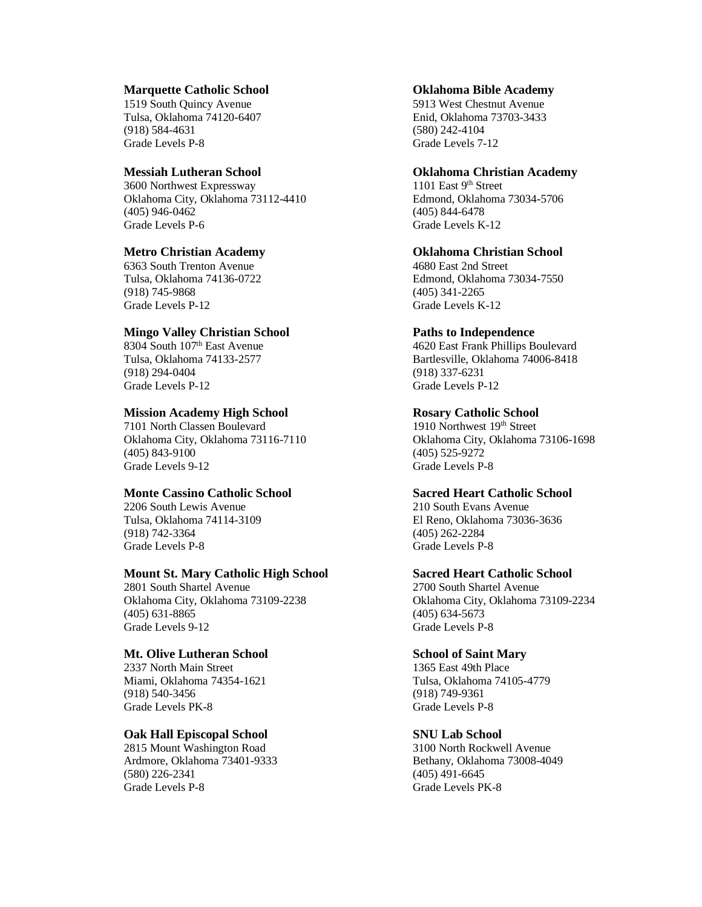#### **Marquette Catholic School**

1519 South Quincy Avenue Tulsa, Oklahoma 74120-6407 (918) 584-4631 Grade Levels P-8

### **Messiah Lutheran School**

3600 Northwest Expressway Oklahoma City, Oklahoma 73112-4410 (405) 946-0462 Grade Levels P-6

# **Metro Christian Academy**

6363 South Trenton Avenue Tulsa, Oklahoma 74136-0722 (918) 745-9868 Grade Levels P-12

### **Mingo Valley Christian School**

8304 South 107<sup>th</sup> East Avenue Tulsa, Oklahoma 74133-2577 (918) 294-0404 Grade Levels P-12

#### **Mission Academy High School**

7101 North Classen Boulevard Oklahoma City, Oklahoma 73116-7110 (405) 843-9100 Grade Levels 9-12

# **Monte Cassino Catholic School**

2206 South Lewis Avenue Tulsa, Oklahoma 74114-3109 (918) 742-3364 Grade Levels P-8

#### **Mount St. Mary Catholic High School**

2801 South Shartel Avenue Oklahoma City, Oklahoma 73109-2238 (405) 631-8865 Grade Levels 9-12

### **Mt. Olive Lutheran School**

2337 North Main Street Miami, Oklahoma 74354-1621 (918) 540-3456 Grade Levels PK-8

# **Oak Hall Episcopal School**

2815 Mount Washington Road Ardmore, Oklahoma 73401-9333 (580) 226-2341 Grade Levels P-8

### **Oklahoma Bible Academy**

5913 West Chestnut Avenue Enid, Oklahoma 73703-3433 (580) 242-4104 Grade Levels 7-12

#### **Oklahoma Christian Academy**

1101 East 9<sup>th</sup> Street Edmond, Oklahoma 73034-5706 (405) 844-6478 Grade Levels K-12

# **Oklahoma Christian School**

4680 East 2nd Street Edmond, Oklahoma 73034-7550 (405) 341-2265 Grade Levels K-12

#### **Paths to Independence**

4620 East Frank Phillips Boulevard Bartlesville, Oklahoma 74006-8418 (918) 337-6231 Grade Levels P-12

#### **Rosary Catholic School**

1910 Northwest 19<sup>th</sup> Street Oklahoma City, Oklahoma 73106-1698 (405) 525-9272 Grade Levels P-8

# **Sacred Heart Catholic School**

210 South Evans Avenue El Reno, Oklahoma 73036-3636 (405) 262-2284 Grade Levels P-8

#### **Sacred Heart Catholic School**

2700 South Shartel Avenue Oklahoma City, Oklahoma 73109-2234 (405) 634-5673 Grade Levels P-8

### **School of Saint Mary**

1365 East 49th Place Tulsa, Oklahoma 74105-4779 (918) 749-9361 Grade Levels P-8

#### **SNU Lab School**

3100 North Rockwell Avenue Bethany, Oklahoma 73008-4049 (405) 491-6645 Grade Levels PK-8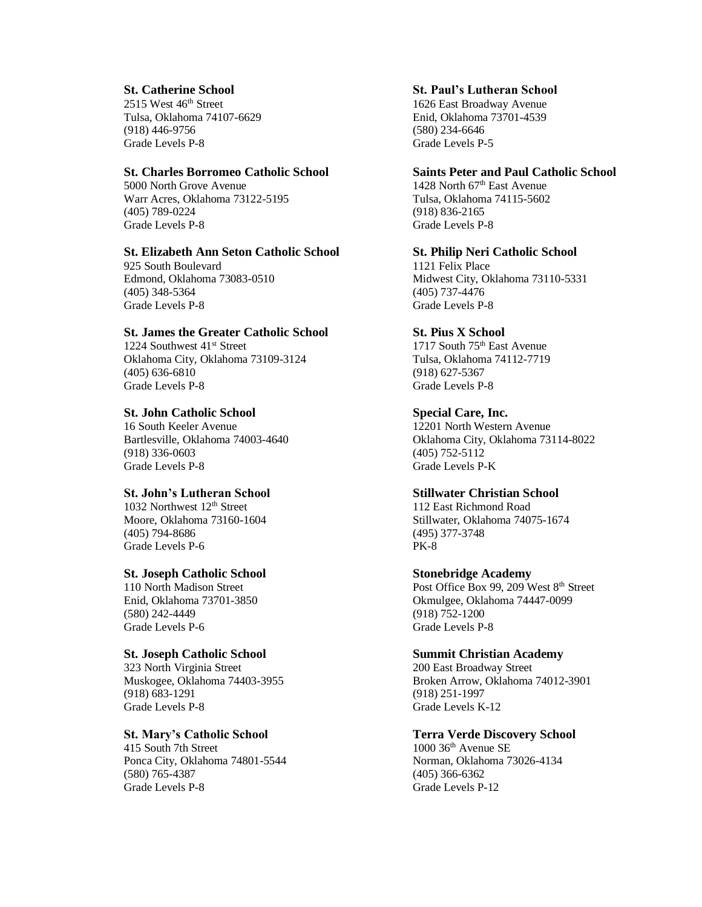### **St. Catherine School**

 $2515$  West  $46<sup>th</sup>$  Street Tulsa, Oklahoma 74107-6629 (918) 446-9756 Grade Levels P-8

### **St. Charles Borromeo Catholic School**

5000 North Grove Avenue Warr Acres, Oklahoma 73122-5195 (405) 789-0224 Grade Levels P-8

# **St. Elizabeth Ann Seton Catholic School**

925 South Boulevard Edmond, Oklahoma 73083-0510 (405) 348-5364 Grade Levels P-8

#### **St. James the Greater Catholic School**

1224 Southwest 41<sup>st</sup> Street Oklahoma City, Oklahoma 73109-3124 (405) 636-6810 Grade Levels P-8

# **St. John Catholic School**

16 South Keeler Avenue Bartlesville, Oklahoma 74003-4640 (918) 336-0603 Grade Levels P-8

# **St. John's Lutheran School**

1032 Northwest 12<sup>th</sup> Street Moore, Oklahoma 73160-1604 (405) 794-8686 Grade Levels P-6

### **St. Joseph Catholic School**

110 North Madison Street Enid, Oklahoma 73701-3850 (580) 242-4449 Grade Levels P-6

# **St. Joseph Catholic School**

323 North Virginia Street Muskogee, Oklahoma 74403-3955 (918) 683-1291 Grade Levels P-8

#### **St. Mary's Catholic School**

415 South 7th Street Ponca City, Oklahoma 74801-5544 (580) 765-4387 Grade Levels P-8

# **St. Paul's Lutheran School**

1626 East Broadway Avenue Enid, Oklahoma 73701-4539 (580) 234-6646 Grade Levels P-5

#### **Saints Peter and Paul Catholic School**

1428 North 67<sup>th</sup> East Avenue Tulsa, Oklahoma 74115-5602 (918) 836-2165 Grade Levels P-8

#### **St. Philip Neri Catholic School**

1121 Felix Place Midwest City, Oklahoma 73110-5331 (405) 737-4476 Grade Levels P-8

# **St. Pius X School**

1717 South 75<sup>th</sup> East Avenue Tulsa, Oklahoma 74112-7719 (918) 627-5367 Grade Levels P-8

#### **Special Care, Inc.**

12201 North Western Avenue Oklahoma City, Oklahoma 73114-8022 (405) 752-5112 Grade Levels P-K

# **Stillwater Christian School**

112 East Richmond Road Stillwater, Oklahoma 74075-1674 (495) 377-3748 PK-8

#### **Stonebridge Academy**

Post Office Box 99, 209 West 8<sup>th</sup> Street Okmulgee, Oklahoma 74447-0099 (918) 752-1200 Grade Levels P-8

# **Summit Christian Academy**

200 East Broadway Street Broken Arrow, Oklahoma 74012-3901 (918) 251-1997 Grade Levels K-12

# **Terra Verde Discovery School**

 $1000$  36<sup>th</sup> Avenue SE Norman, Oklahoma 73026-4134 (405) 366-6362 Grade Levels P-12